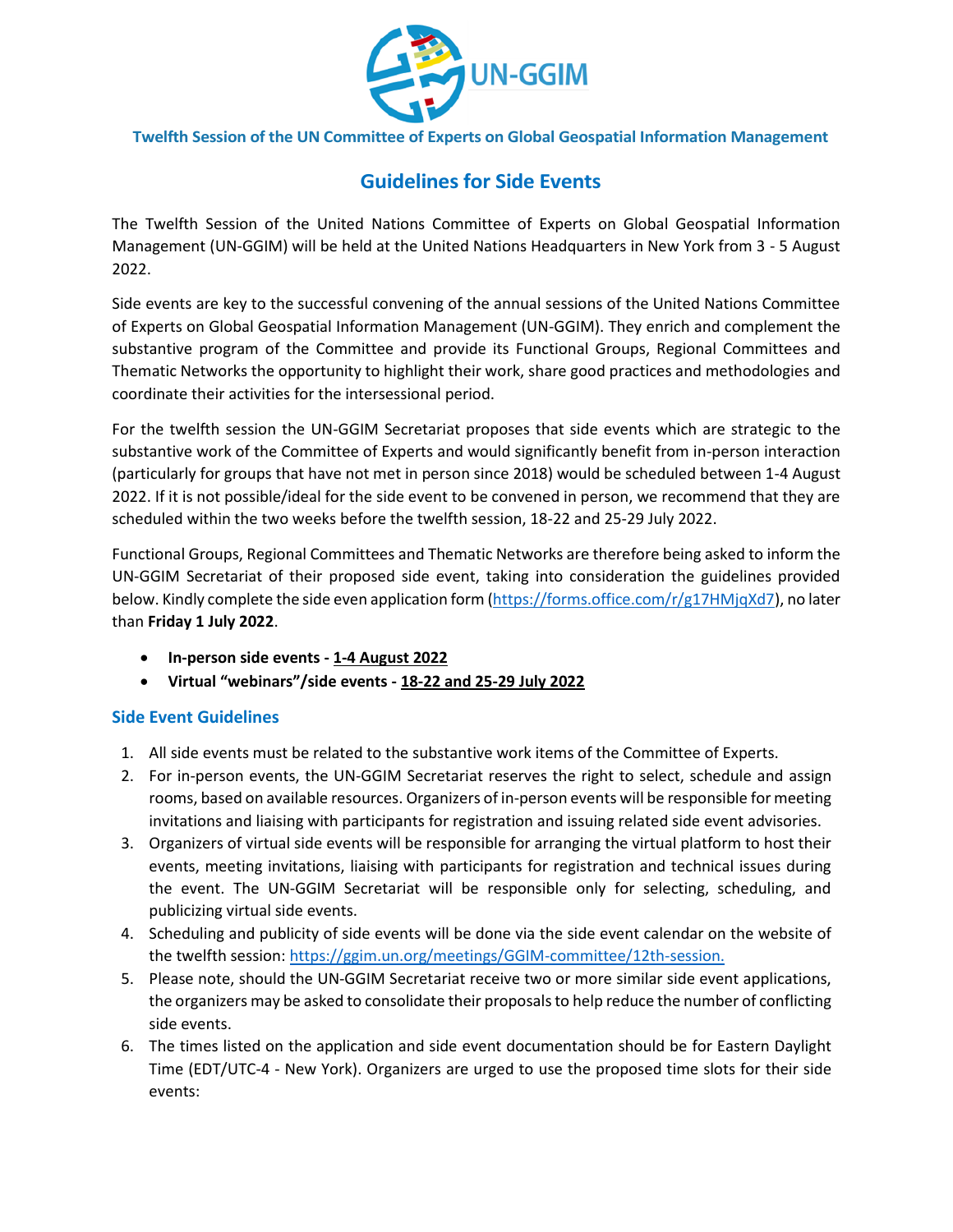

## **Twelfth Session of the UN Committee of Experts on Global Geospatial Information Management**

## **Guidelines for Side Events**

The Twelfth Session of the United Nations Committee of Experts on Global Geospatial Information Management (UN-GGIM) will be held at the United Nations Headquarters in New York from 3 - 5 August 2022.

Side events are key to the successful convening of the annual sessions of the United Nations Committee of Experts on Global Geospatial Information Management (UN-GGIM). They enrich and complement the substantive program of the Committee and provide its Functional Groups, Regional Committees and Thematic Networks the opportunity to highlight their work, share good practices and methodologies and coordinate their activities for the intersessional period.

For the twelfth session the UN-GGIM Secretariat proposes that side events which are strategic to the substantive work of the Committee of Experts and would significantly benefit from in-person interaction (particularly for groups that have not met in person since 2018) would be scheduled between 1-4 August 2022. If it is not possible/ideal for the side event to be convened in person, we recommend that they are scheduled within the two weeks before the twelfth session, 18-22 and 25-29 July 2022.

Functional Groups, Regional Committees and Thematic Networks are therefore being asked to inform the UN-GGIM Secretariat of their proposed side event, taking into consideration the guidelines provided below. Kindly complete the side even application form [\(https://forms.office.com/r/g17HMjqXd7\)](https://forms.office.com/r/g17HMjqXd7), no later than **Friday 1 July 2022**.

- **In-person side events - 1-4 August 2022**
- **Virtual "webinars"/side events - 18-22 and 25-29 July 2022**

## **Side Event Guidelines**

- 1. All side events must be related to the substantive work items of the Committee of Experts.
- 2. For in-person events, the UN-GGIM Secretariat reserves the right to select, schedule and assign rooms, based on available resources. Organizers of in-person events will be responsible for meeting invitations and liaising with participants for registration and issuing related side event advisories.
- 3. Organizers of virtual side events will be responsible for arranging the virtual platform to host their events, meeting invitations, liaising with participants for registration and technical issues during the event. The UN-GGIM Secretariat will be responsible only for selecting, scheduling, and publicizing virtual side events.
- 4. Scheduling and publicity of side events will be done via the side event calendar on the website of the twelfth session:<https://ggim.un.org/meetings/GGIM-committee/12th-session.>
- 5. Please note, should the UN-GGIM Secretariat receive two or more similar side event applications, the organizers may be asked to consolidate their proposalsto help reduce the number of conflicting side events.
- 6. The times listed on the application and side event documentation should be for Eastern Daylight Time (EDT/UTC-4 - New York). Organizers are urged to use the proposed time slots for their side events: